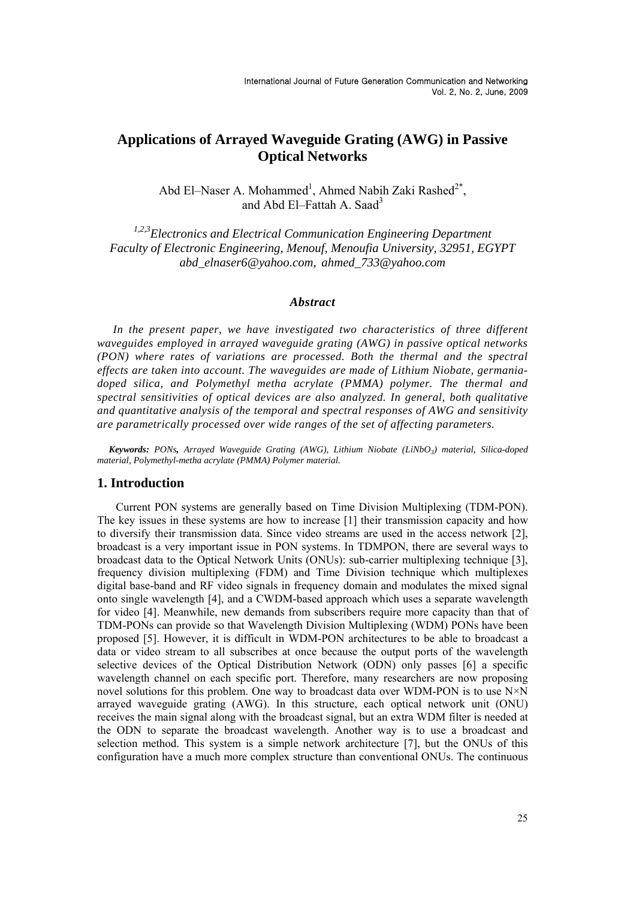# **Applications of Arrayed Waveguide Grating (AWG) in Passive Optical Networks**

Abd El-Naser A. Mohammed<sup>1</sup>, Ahmed Nabih Zaki Rashed<sup>2\*</sup>, and Abd El-Fattah A. Saad<sup>3</sup>

*1,2,3Electronics and Electrical Communication Engineering Department Faculty of Electronic Engineering, Menouf, Menoufia University, 32951, EGYPT abd\_elnaser6@yahoo.com, ahmed\_733@yahoo.com* 

# *Abstract*

In the present paper, we have investigated two characteristics of three different *waveguides employed in arrayed waveguide grating (AWG) in passive optical networks (PON) where rates of variations are processed. Both the thermal and the spectral effects are taken into account. The waveguides are made of Lithium Niobate, germaniadoped silica, and Polymethyl metha acrylate (PMMA) polymer. The thermal and spectral sensitivities of optical devices are also analyzed. In general, both qualitative and quantitative analysis of the temporal and spectral responses of AWG and sensitivity are parametrically processed over wide ranges of the set of affecting parameters.* 

 *Keywords: PONs, Arrayed Waveguide Grating (AWG), Lithium Niobate (LiNbO3) material, Silica-doped material, Polymethyl-metha acrylate (PMMA) Polymer material.* 

# **1. Introduction**

Current PON systems are generally based on Time Division Multiplexing (TDM-PON). The key issues in these systems are how to increase [1] their transmission capacity and how to diversify their transmission data. Since video streams are used in the access network [2], broadcast is a very important issue in PON systems. In TDMPON, there are several ways to broadcast data to the Optical Network Units (ONUs): sub-carrier multiplexing technique [3], frequency division multiplexing (FDM) and Time Division technique which multiplexes digital base-band and RF video signals in frequency domain and modulates the mixed signal onto single wavelength [4], and a CWDM-based approach which uses a separate wavelength for video [4]. Meanwhile, new demands from subscribers require more capacity than that of TDM-PONs can provide so that Wavelength Division Multiplexing (WDM) PONs have been proposed [5]. However, it is difficult in WDM-PON architectures to be able to broadcast a data or video stream to all subscribes at once because the output ports of the wavelength selective devices of the Optical Distribution Network (ODN) only passes [6] a specific wavelength channel on each specific port. Therefore, many researchers are now proposing novel solutions for this problem. One way to broadcast data over WDM-PON is to use  $N \times N$ arrayed waveguide grating (AWG). In this structure, each optical network unit (ONU) receives the main signal along with the broadcast signal, but an extra WDM filter is needed at the ODN to separate the broadcast wavelength. Another way is to use a broadcast and selection method. This system is a simple network architecture [7], but the ONUs of this configuration have a much more complex structure than conventional ONUs. The continuous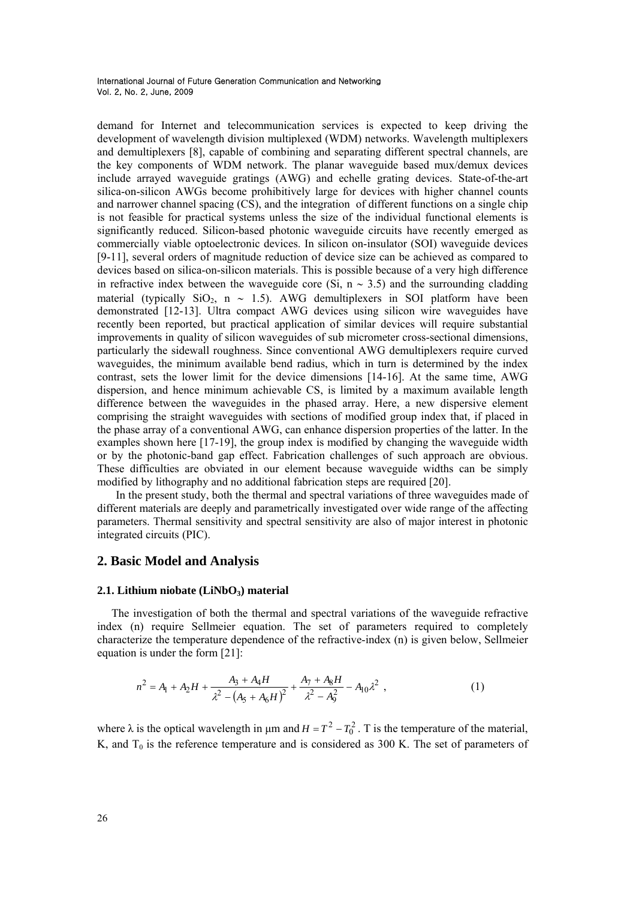demand for Internet and telecommunication services is expected to keep driving the development of wavelength division multiplexed (WDM) networks. Wavelength multiplexers and demultiplexers [8], capable of combining and separating different spectral channels, are the key components of WDM network. The planar waveguide based mux/demux devices include arrayed waveguide gratings (AWG) and echelle grating devices. State-of-the-art silica-on-silicon AWGs become prohibitively large for devices with higher channel counts and narrower channel spacing  $(C\bar{S})$ , and the integration of different functions on a single chip is not feasible for practical systems unless the size of the individual functional elements is significantly reduced. Silicon-based photonic waveguide circuits have recently emerged as commercially viable optoelectronic devices. In silicon on-insulator (SOI) waveguide devices [9-11], several orders of magnitude reduction of device size can be achieved as compared to devices based on silica-on-silicon materials. This is possible because of a very high difference in refractive index between the waveguide core (Si,  $n \sim 3.5$ ) and the surrounding cladding material (typically  $SiO_2$ , n ~ 1.5). AWG demultiplexers in SOI platform have been demonstrated [12-13]. Ultra compact AWG devices using silicon wire waveguides have recently been reported, but practical application of similar devices will require substantial improvements in quality of silicon waveguides of sub micrometer cross-sectional dimensions, particularly the sidewall roughness. Since conventional AWG demultiplexers require curved waveguides, the minimum available bend radius, which in turn is determined by the index contrast, sets the lower limit for the device dimensions [14-16]. At the same time, AWG dispersion, and hence minimum achievable CS, is limited by a maximum available length difference between the waveguides in the phased array. Here, a new dispersive element comprising the straight waveguides with sections of modified group index that, if placed in the phase array of a conventional AWG, can enhance dispersion properties of the latter. In the examples shown here [17-19], the group index is modified by changing the waveguide width or by the photonic-band gap effect. Fabrication challenges of such approach are obvious. These difficulties are obviated in our element because waveguide widths can be simply modified by lithography and no additional fabrication steps are required [20].

In the present study, both the thermal and spectral variations of three waveguides made of different materials are deeply and parametrically investigated over wide range of the affecting parameters. Thermal sensitivity and spectral sensitivity are also of major interest in photonic integrated circuits (PIC).

# **2. Basic Model and Analysis**

#### 2.1. Lithium niobate (LiNbO<sub>3</sub>) material

 The investigation of both the thermal and spectral variations of the waveguide refractive index (n) require Sellmeier equation. The set of parameters required to completely characterize the temperature dependence of the refractive-index (n) is given below, Sellmeier equation is under the form [21]:

$$
n^{2} = A_{1} + A_{2}H + \frac{A_{3} + A_{4}H}{\lambda^{2} - (A_{5} + A_{6}H)^{2}} + \frac{A_{7} + A_{8}H}{\lambda^{2} - A_{9}^{2}} - A_{10}\lambda^{2} , \qquad (1)
$$

where  $\lambda$  is the optical wavelength in  $\mu$ m and  $H = T^2 - T_0^2$ . T is the temperature of the material, K, and  $T_0$  is the reference temperature and is considered as 300 K. The set of parameters of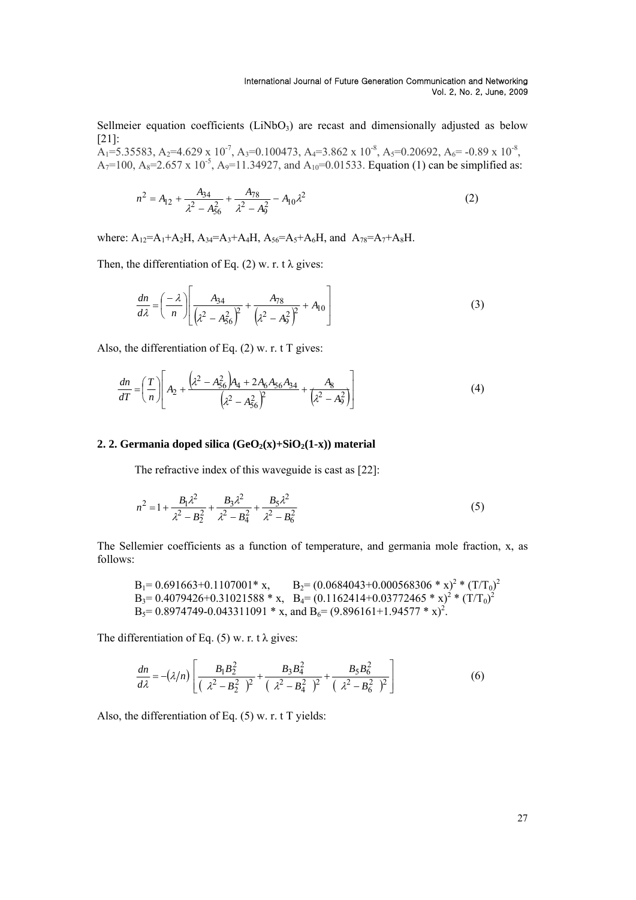Sellmeier equation coefficients  $(LiNbO<sub>3</sub>)$  are recast and dimensionally adjusted as below [21]:

 $A_1$ =5.35583, A<sub>2</sub>=4.629 x 10<sup>-7</sup>, A<sub>3</sub>=0.100473, A<sub>4</sub>=3.862 x 10<sup>-8</sup>, A<sub>5</sub>=0.20692, A<sub>6</sub>= -0.89 x 10<sup>-8</sup>, A<sub>7</sub>=100, A<sub>8</sub>=2.657 x 10<sup>-5</sup>, A<sub>9</sub>=11.34927, and A<sub>10</sub>=0.01533. Equation (1) can be simplified as:

$$
n^2 = A_{12} + \frac{A_{34}}{\lambda^2 - A_{56}^2} + \frac{A_{78}}{\lambda^2 - A_9^2} - A_{10}\lambda^2
$$
 (2)

where:  $A_{12}=A_1+A_2H$ ,  $A_{34}=A_3+A_4H$ ,  $A_{56}=A_5+A_6H$ , and  $A_{78}=A_7+A_8H$ .

Then, the differentiation of Eq. (2) w. r. t  $\lambda$  gives:

$$
\frac{dn}{d\lambda} = \left(\frac{-\lambda}{n}\right) \left[ \frac{A_{34}}{\left(\lambda^2 - A_{56}^2\right)^2} + \frac{A_{78}}{\left(\lambda^2 - A_{9}^2\right)^2} + A_{10} \right]
$$
(3)

Also, the differentiation of Eq.  $(2)$  w. r. t T gives:

$$
\frac{dn}{dT} = \left(\frac{T}{n}\right) \left[A_2 + \frac{\left(\lambda^2 - A_{56}^2\right)A_4 + 2A_6A_{56}A_{34}}{\left(\lambda^2 - A_{56}^2\right)^2} + \frac{A_8}{\left(\lambda^2 - A_9^2\right)}\right]
$$
(4)

#### **2. 2. Germania doped silica (GeO<sub>2</sub>(x)+SiO<sub>2</sub>(1-x)) material**

The refractive index of this waveguide is cast as [22]:

$$
n^2 = 1 + \frac{B_1 \lambda^2}{\lambda^2 - B_2^2} + \frac{B_3 \lambda^2}{\lambda^2 - B_4^2} + \frac{B_5 \lambda^2}{\lambda^2 - B_6^2}
$$
 (5)

The Sellemier coefficients as a function of temperature, and germania mole fraction, x, as follows:

B1= 0.691663+0.1107001\* x, B2= (0.0684043+0.000568306 \* x)2 \* (T/T0) 2 B3= 0.4079426+0.31021588 \* x, B4= (0.1162414+0.03772465 \* x)<sup>2</sup> \* (T/T0) 2 B5= 0.8974749-0.043311091 \* x, and B6= (9.896161+1.94577 \* x)2 .

The differentiation of Eq. (5) w. r. t  $\lambda$  gives:

$$
\frac{dn}{d\lambda} = -(\lambda/n) \left[ \frac{B_1 B_2^2}{\left(\lambda^2 - B_2^2\right)^2} + \frac{B_3 B_4^2}{\left(\lambda^2 - B_4^2\right)^2} + \frac{B_5 B_6^2}{\left(\lambda^2 - B_6^2\right)^2} \right]
$$
(6)

Also, the differentiation of Eq. (5) w. r. t T yields: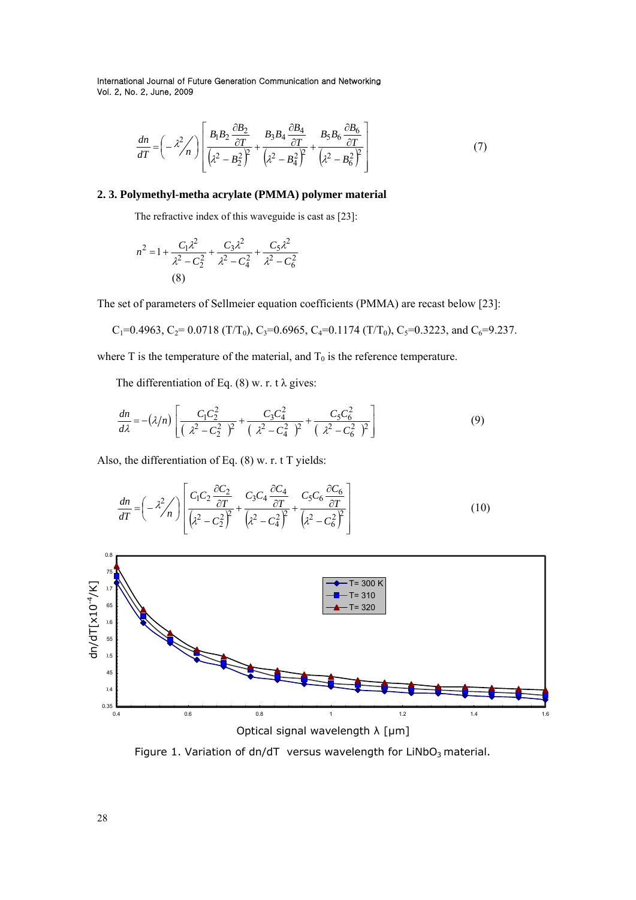$$
\frac{dn}{dT} = \left(-\lambda^2 / n\right) \left[ \frac{B_1 B_2 \frac{\partial B_2}{\partial T}}{\left(\lambda^2 - B_2^2\right)^2} + \frac{B_3 B_4 \frac{\partial B_4}{\partial T}}{\left(\lambda^2 - B_4^2\right)^2} + \frac{B_5 B_6 \frac{\partial B_6}{\partial T}}{\left(\lambda^2 - B_6^2\right)^2} \right] \tag{7}
$$

# **2. 3. Polymethyl-metha acrylate (PMMA) polymer material**

The refractive index of this waveguide is cast as [23]:

$$
n^{2} = 1 + \frac{C_{1}\lambda^{2}}{\lambda^{2} - C_{2}^{2}} + \frac{C_{3}\lambda^{2}}{\lambda^{2} - C_{4}^{2}} + \frac{C_{5}\lambda^{2}}{\lambda^{2} - C_{6}^{2}}
$$
\n(8)

The set of parameters of Sellmeier equation coefficients (PMMA) are recast below [23]:

$$
C_1=0.4963
$$
,  $C_2=0.0718$  (T/T<sub>0</sub>),  $C_3=0.6965$ ,  $C_4=0.1174$  (T/T<sub>0</sub>),  $C_5=0.3223$ , and  $C_6=9.237$ .

where T is the temperature of the material, and  $T_0$  is the reference temperature.

The differentiation of Eq. (8) w. r. t  $\lambda$  gives:

$$
\frac{dn}{d\lambda} = -(\lambda/n) \left[ \frac{C_1 C_2^2}{(\lambda^2 - C_2^2)^2} + \frac{C_3 C_4^2}{(\lambda^2 - C_4^2)^2} + \frac{C_5 C_6^2}{(\lambda^2 - C_6^2)^2} \right]
$$
(9)

Also, the differentiation of Eq. (8) w. r. t T yields:

$$
\frac{dn}{dT} = \left(-\frac{\lambda^2}{n}\right) \left[ \frac{C_1 C_2 \frac{\partial C_2}{\partial T}}{\left(\lambda^2 - C_2^2\right)^2} + \frac{C_3 C_4 \frac{\partial C_4}{\partial T}}{\left(\lambda^2 - C_4^2\right)^2} + \frac{C_5 C_6 \frac{\partial C_6}{\partial T}}{\left(\lambda^2 - C_6^2\right)^2} \right] \tag{10}
$$



Figure 1. Variation of dn/dT versus wavelength for  $LiNbO<sub>3</sub>$  material.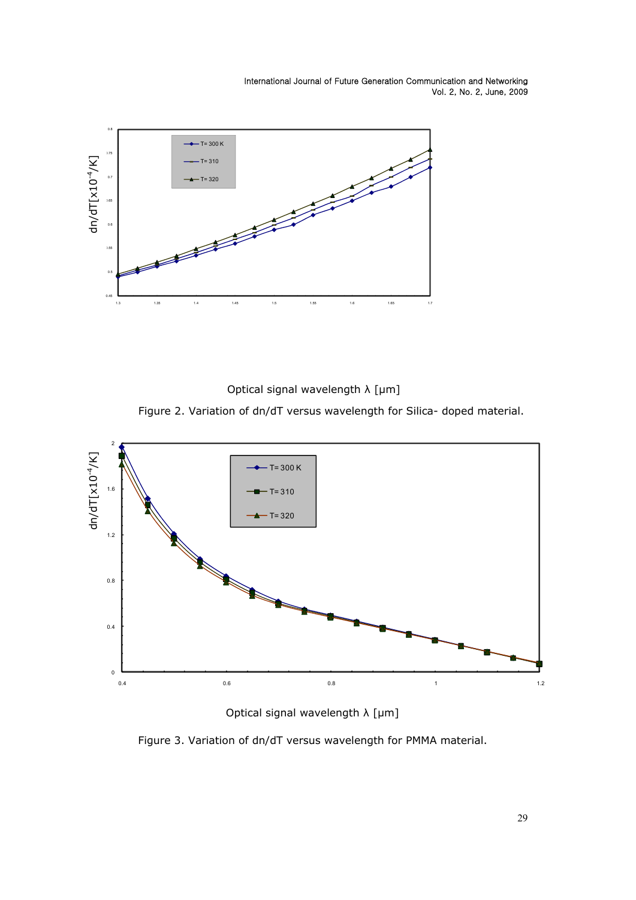

Optical signal wavelength λ [µm]

Figure 2. Variation of dn/dT versus wavelength for Silica- doped material.



Optical signal wavelength λ [µm]

Figure 3. Variation of dn/dT versus wavelength for PMMA material.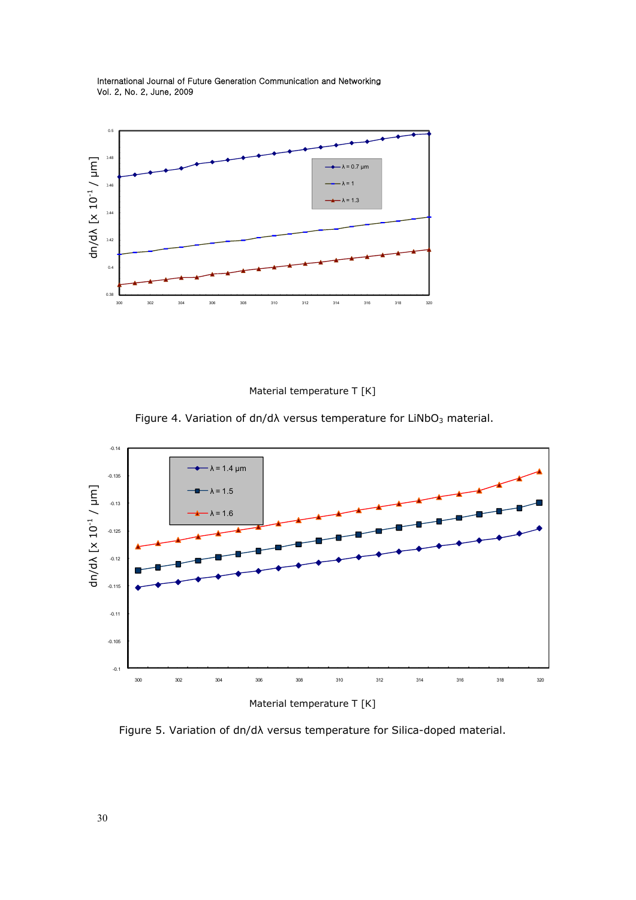

Material temperature T [K]

Figure 4. Variation of dn/d $\lambda$  versus temperature for LiNbO<sub>3</sub> material.



Material temperature T [K]

Figure 5. Variation of dn/dλ versus temperature for Silica-doped material.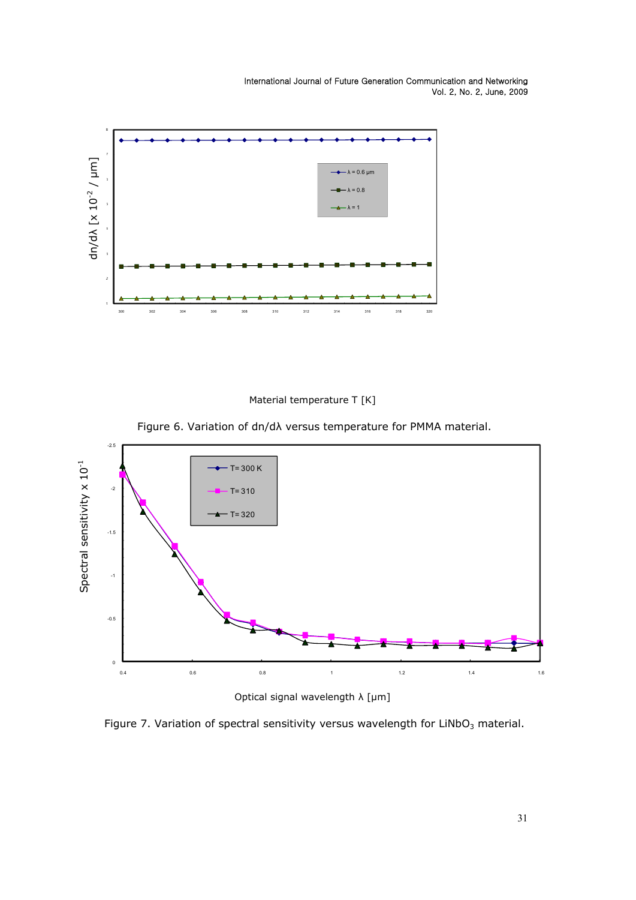



Figure 6. Variation of dn/dλ versus temperature for PMMA material.



Optical signal wavelength λ [µm]

Figure 7. Variation of spectral sensitivity versus wavelength for  $LiNbO<sub>3</sub>$  material.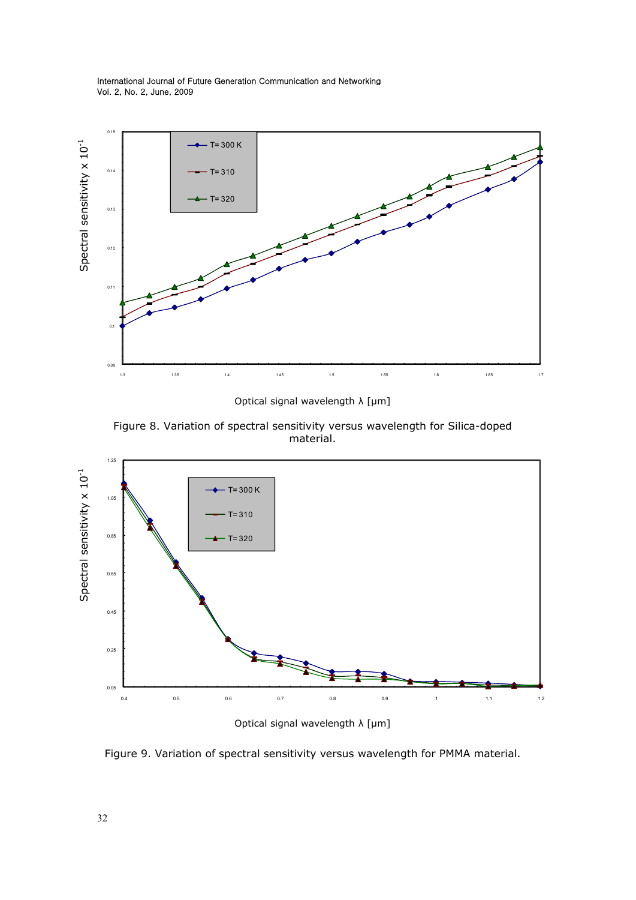

Optical signal wavelength λ [µm]

Figure 8. Variation of spectral sensitivity versus wavelength for Silica-doped material.



Figure 9. Variation of spectral sensitivity versus wavelength for PMMA material.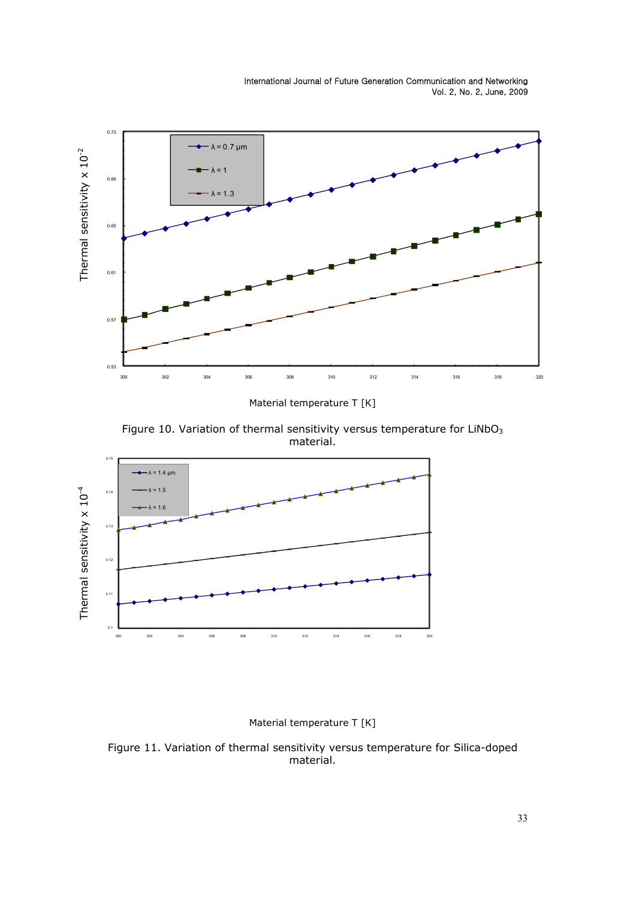

Material temperature T [K]

Figure 10. Variation of thermal sensitivity versus temperature for  $LiNbO<sub>3</sub>$ material.



# Material temperature T [K]

Figure 11. Variation of thermal sensitivity versus temperature for Silica-doped material.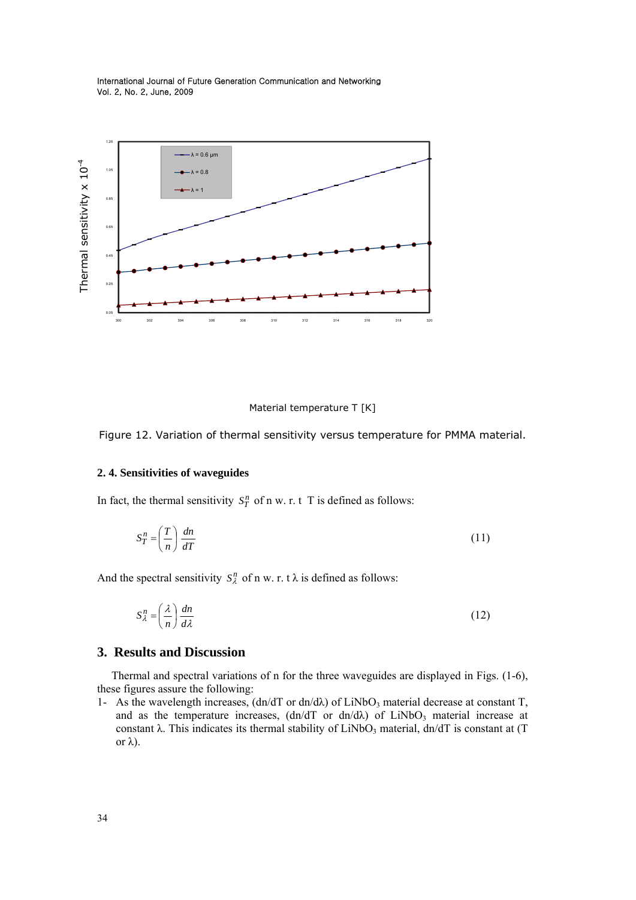



Figure 12. Variation of thermal sensitivity versus temperature for PMMA material.

### **2. 4. Sensitivities of waveguides**

In fact, the thermal sensitivity  $S_T^n$  of n w. r. t T is defined as follows:

$$
S_T^n = \left(\frac{T}{n}\right) \frac{dn}{dT} \tag{11}
$$

And the spectral sensitivity  $S_{\lambda}^{n}$  of n w. r. t  $\lambda$  is defined as follows:

$$
S_{\lambda}^{n} = \left(\frac{\lambda}{n}\right) \frac{dn}{d\lambda} \tag{12}
$$

#### **3. Results and Discussion**

 Thermal and spectral variations of n for the three waveguides are displayed in Figs. (1-6), these figures assure the following:

1- As the wavelength increases,  $(dn/dT)$  or  $dn/d\lambda$  of LiNbO<sub>3</sub> material decrease at constant T, and as the temperature increases,  $(dn/dT)$  or  $dn/d\lambda$  of LiNbO<sub>3</sub> material increase at constant  $\lambda$ . This indicates its thermal stability of LiNbO<sub>3</sub> material, dn/dT is constant at (T) or λ).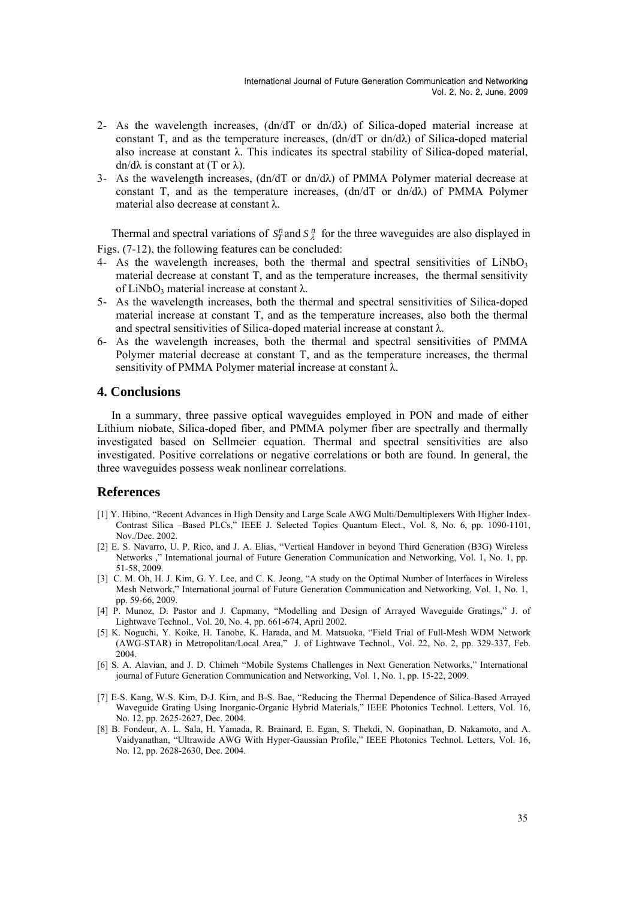- 2- As the wavelength increases,  $(dn/dT)$  or  $dn/d\lambda$  of Silica-doped material increase at constant T, and as the temperature increases,  $(dn/dT)$  or  $dn/d\lambda$  of Silica-doped material also increase at constant  $\lambda$ . This indicates its spectral stability of Silica-doped material, dn/dλ is constant at  $(T$  or  $λ)$ .
- 3- As the wavelength increases,  $(dn/dT)$  or  $dn/d\lambda$  of PMMA Polymer material decrease at constant T, and as the temperature increases,  $(dn/dT)$  or  $dn/d\lambda$  of PMMA Polymer material also decrease at constant λ.

Thermal and spectral variations of  $S_T^n$  and  $S_\lambda^n$  for the three waveguides are also displayed in Figs. (7-12), the following features can be concluded:

- 4- As the wavelength increases, both the thermal and spectral sensitivities of  $LiNbO<sub>3</sub>$ material decrease at constant T, and as the temperature increases, the thermal sensitivity of LiNbO<sub>3</sub> material increase at constant  $λ$ .
- 5- As the wavelength increases, both the thermal and spectral sensitivities of Silica-doped material increase at constant T, and as the temperature increases, also both the thermal and spectral sensitivities of Silica-doped material increase at constant  $\lambda$ .
- 6- As the wavelength increases, both the thermal and spectral sensitivities of PMMA Polymer material decrease at constant T, and as the temperature increases, the thermal sensitivity of PMMA Polymer material increase at constant λ.

# **4. Conclusions**

 In a summary, three passive optical waveguides employed in PON and made of either Lithium niobate, Silica-doped fiber, and PMMA polymer fiber are spectrally and thermally investigated based on Sellmeier equation. Thermal and spectral sensitivities are also investigated. Positive correlations or negative correlations or both are found. In general, the three waveguides possess weak nonlinear correlations.

#### **References**

- [1] Y. Hibino, "Recent Advances in High Density and Large Scale AWG Multi/Demultiplexers With Higher Index-Contrast Silica –Based PLCs," IEEE J. Selected Topics Quantum Elect., Vol. 8, No. 6, pp. 1090-1101, Nov./Dec. 2002.
- [2] E. S. Navarro, U. P. Rico, and J. A. Elias, "Vertical Handover in beyond Third Generation (B3G) Wireless Networks ," International journal of Future Generation Communication and Networking, Vol. 1, No. 1, pp. 51-58, 2009.
- [3] C. M. Oh, H. J. Kim, G. Y. Lee, and C. K. Jeong, "A study on the Optimal Number of Interfaces in Wireless Mesh Network," International journal of Future Generation Communication and Networking, Vol. 1, No. 1, pp. 59-66, 2009.
- [4] P. Munoz, D. Pastor and J. Capmany, "Modelling and Design of Arrayed Waveguide Gratings," J. of Lightwave Technol., Vol. 20, No. 4, pp. 661-674, April 2002.
- [5] K. Noguchi, Y. Koike, H. Tanobe, K. Harada, and M. Matsuoka, "Field Trial of Full-Mesh WDM Network (AWG-STAR) in Metropolitan/Local Area," J. of Lightwave Technol., Vol. 22, No. 2, pp. 329-337, Feb. 2004.
- [6] S. A. Alavian, and J. D. Chimeh "Mobile Systems Challenges in Next Generation Networks," International journal of Future Generation Communication and Networking, Vol. 1, No. 1, pp. 15-22, 2009.
- [7] E-S. Kang, W-S. Kim, D-J. Kim, and B-S. Bae, "Reducing the Thermal Dependence of Silica-Based Arrayed Waveguide Grating Using Inorganic-Organic Hybrid Materials," IEEE Photonics Technol. Letters, Vol. 16, No. 12, pp. 2625-2627, Dec. 2004.
- [8] B. Fondeur, A. L. Sala, H. Yamada, R. Brainard, E. Egan, S. Thekdi, N. Gopinathan, D. Nakamoto, and A. Vaidyanathan, "Ultrawide AWG With Hyper-Gaussian Profile," IEEE Photonics Technol. Letters, Vol. 16, No. 12, pp. 2628-2630, Dec. 2004.